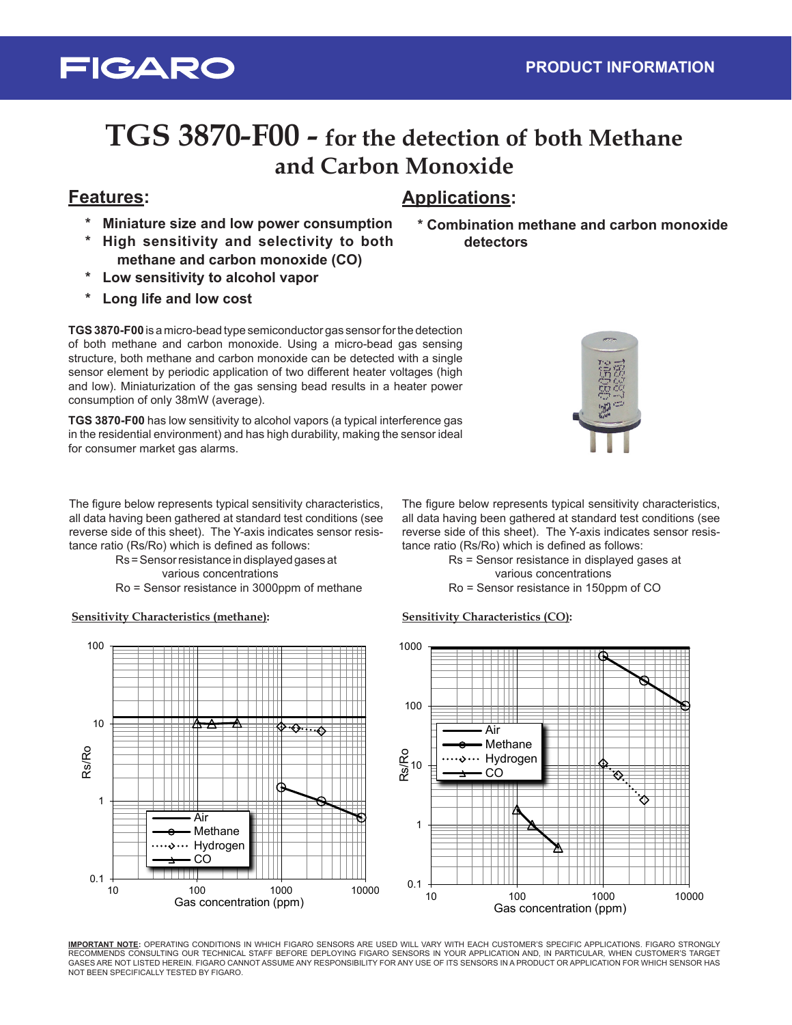## **TGS 3870-F00 - for the detection of both Methane and Carbon Monoxide**

### **Features: Applications:**

**FIGARO** 

- **\* Miniature size and low power consumption**
- **\* High sensitivity and selectivity to both methane and carbon monoxide (CO)**
- **Low sensitivity to alcohol vapor**
- Long life and low cost

**TGS 3870-F00** is a micro-bead type semiconductor gas sensor for the detection of both methane and carbon monoxide. Using a micro-bead gas sensing structure, both methane and carbon monoxide can be detected with a single sensor element by periodic application of two different heater voltages (high and low). Miniaturization of the gas sensing bead results in a heater power consumption of only 38mW (average).

**TGS 3870-F00** has low sensitivity to alcohol vapors (a typical interference gas in the residential environment) and has high durability, making the sensor ideal for consumer market gas alarms.

The figure below represents typical sensitivity characteristics, all data having been gathered at standard test conditions (see reverse side of this sheet). The Y-axis indicates sensor resistance ratio (Rs/Ro) which is defined as follows:

Rs = Sensor resistance in displayed gases at various concentrations

Ro = Sensor resistance in 3000ppm of methane

**Sensitivity Characteristics (methane):**



**\* Combination methane and carbon monoxide detectors**



tance ratio (Rs/Ro) which is defined as follows: Rs = Sensor resistance in displayed gases at various concentrations

### Ro = Sensor resistance in 150ppm of CO

#### **Sensitivity Characteristics (CO):**



**IMPORTANT NOTE:** OPERATING CONDITIONS IN WHICH FIGARO SENSORS ARE USED WILL VARY WITH EACH CUSTOMER'S SPECIFIC APPLICATIONS. FIGARO STRONGLY RECOMMENDS CONSULTING OUR TECHNICAL STAFF BEFORE DEPLOYING FIGARO SENSORS IN YOUR APPLICATION AND, IN PARTICULAR, WHEN CUSTOMER'S TARGET GASES ARE NOT LISTED HEREIN. FIGARO CANNOT ASSUME ANY RESPONSIBILITY FOR ANY USE OF ITS SENSORS IN A PRODUCT OR APPLICATION FOR WHICH SENSOR HAS NOT BEEN SPECIFICALLY TESTED BY FIGARO.